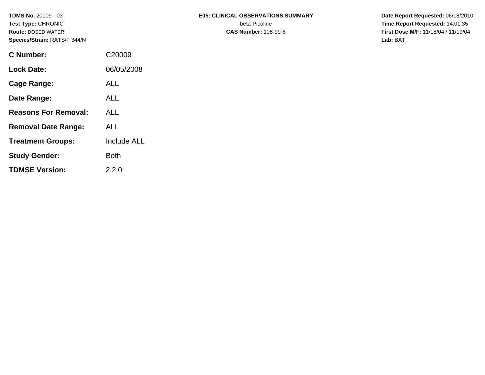| C Number:                   | C <sub>20009</sub> |
|-----------------------------|--------------------|
| <b>Lock Date:</b>           | 06/05/2008         |
| Cage Range:                 | ALL                |
| Date Range:                 | ALL                |
| <b>Reasons For Removal:</b> | ALL                |
| <b>Removal Date Range:</b>  | ALL                |
| <b>Treatment Groups:</b>    | <b>Include ALL</b> |
| <b>Study Gender:</b>        | Both               |

**TDMSE Version:** 2.2.0

### **TDMS No.** 20009 - 03 **E05: CLINICAL OBSERVATIONS SUMMARY** Date Report Requested: 06/18/2010

**Test Type:** CHRONIC beta-Picoline **Time Report Requested:** 14:01:35 **Route:** DOSED WATER **CAS Number:** 108-99-6 **First Dose M/F:** 11/18/04 / 11/19/04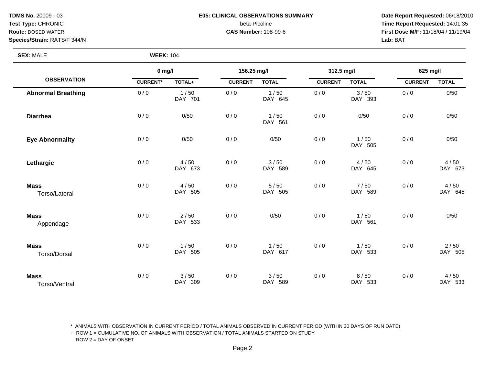## **TDMS No.** 20009 - 03 **E05: CLINICAL OBSERVATIONS SUMMARY** Date Report Requested: 06/18/2010 **Test Type:** CHRONIC beta-Picoline **Time Report Requested:** 14:01:35

**Route:** DOSED WATER **CAS Number:** 108-99-6 **First Dose M/F:** 11/18/04 / 11/19/04

### **SEX:** MALE **WEEK:** 104

|                              | $0$ mg/l        |                 | 156.25 mg/l    |                 | 312.5 mg/l     |                 | 625 mg/l       |                 |
|------------------------------|-----------------|-----------------|----------------|-----------------|----------------|-----------------|----------------|-----------------|
| <b>OBSERVATION</b>           | <b>CURRENT*</b> | TOTAL+          | <b>CURRENT</b> | <b>TOTAL</b>    | <b>CURRENT</b> | <b>TOTAL</b>    | <b>CURRENT</b> | <b>TOTAL</b>    |
| <b>Abnormal Breathing</b>    | 0/0             | 1/50<br>DAY 701 | 0/0            | 1/50<br>DAY 645 | 0/0            | 3/50<br>DAY 393 | 0/0            | 0/50            |
| <b>Diarrhea</b>              | 0/0             | 0/50            | 0/0            | 1/50<br>DAY 561 | 0/0            | 0/50            | 0/0            | 0/50            |
| <b>Eye Abnormality</b>       | 0/0             | 0/50            | 0/0            | 0/50            | 0/0            | 1/50<br>DAY 505 | 0/0            | 0/50            |
| Lethargic                    | 0/0             | 4/50<br>DAY 673 | 0/0            | 3/50<br>DAY 589 | 0/0            | 4/50<br>DAY 645 | 0/0            | 4/50<br>DAY 673 |
| <b>Mass</b><br>Torso/Lateral | 0/0             | 4/50<br>DAY 505 | 0/0            | 5/50<br>DAY 505 | 0/0            | 7/50<br>DAY 589 | 0/0            | 4/50<br>DAY 645 |
| <b>Mass</b><br>Appendage     | 0/0             | 2/50<br>DAY 533 | 0/0            | 0/50            | 0/0            | 1/50<br>DAY 561 | 0/0            | 0/50            |
| <b>Mass</b><br>Torso/Dorsal  | 0/0             | 1/50<br>DAY 505 | 0/0            | 1/50<br>DAY 617 | 0/0            | 1/50<br>DAY 533 | 0/0            | 2/50<br>DAY 505 |
| <b>Mass</b><br>Torso/Ventral | 0/0             | 3/50<br>DAY 309 | 0/0            | 3/50<br>DAY 589 | 0/0            | 8/50<br>DAY 533 | 0/0            | 4/50<br>DAY 533 |

\* ANIMALS WITH OBSERVATION IN CURRENT PERIOD / TOTAL ANIMALS OBSERVED IN CURRENT PERIOD (WITHIN 30 DAYS OF RUN DATE)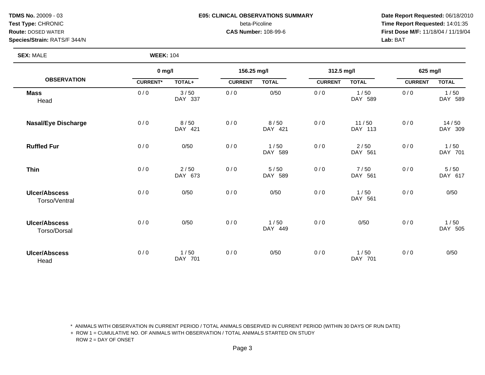## **TDMS No.** 20009 - 03 **E05: CLINICAL OBSERVATIONS SUMMARY Date Report Requested:** 06/18/2010

**Test Type:** CHRONIC beta-Picoline **Time Report Requested:** 14:01:35 **Route:** DOSED WATER **CAS Number:** 108-99-6 **First Dose M/F:** 11/18/04 / 11/19/04

> $1/50$ DAY 589

 $14 / 50$ DAY 309

 $1/50$ DAY 701

 $5/50$ DAY 617

DAY 561

0 / 0  $0/6$  0  $0/0$  1 / 50

**Species/Strain:** RATS/F 344/N **Lab:** BAT

Torso/Ventral

**Ulcer/Abscess**

| <b>SEX: MALE</b>           | <b>WEEK: 104</b> |                 |                |                    |                |                  |                |               |
|----------------------------|------------------|-----------------|----------------|--------------------|----------------|------------------|----------------|---------------|
|                            | $0$ mg/l         |                 | 156.25 mg/l    |                    | 312.5 mg/l     |                  | 625 mg/l       |               |
| <b>OBSERVATION</b>         | <b>CURRENT*</b>  | <b>TOTAL+</b>   | <b>CURRENT</b> | <b>TOTAL</b>       | <b>CURRENT</b> | <b>TOTAL</b>     | <b>CURRENT</b> | <b>TOTAL</b>  |
| <b>Mass</b><br>Head        | 0/0              | 3/50<br>DAY 337 | 0/0            | 0/50               | 0/0            | 1/50<br>DAY 589  | 0/0            | 1/50<br>DAY 5 |
| <b>Nasal/Eye Discharge</b> | 0/0              | 8/50<br>DAY 421 | 0/0            | 8/50<br>DAY 421    | 0/0            | 11/50<br>DAY 113 | 0/0            | 14/5<br>DAY 3 |
| <b>Ruffled Fur</b>         | 0/0              | 0/50            | 0/0            | 1/50<br>DAY<br>589 | 0/0            | 2/50<br>DAY 561  | 0/0            | 1/50<br>DAY 7 |
| <b>Thin</b>                | 0/0              | 2/50<br>DAY 673 | 0/0            | 5/50<br>DAY<br>589 | 0/0            | 7/50<br>DAY 561  | 0/0            | 5/50<br>DAY 6 |
| <b>Ulcer/Abscess</b>       | 0/0              | 0/50            | 0/0            | 0/50               | 0/0            | 1/50             | 0/0            | 0/50          |

| Torso/Dorsal                 | DAY<br>449 |                 |     |      |     |                |     |      |
|------------------------------|------------|-----------------|-----|------|-----|----------------|-----|------|
| <b>Ulcer/Abscess</b><br>Head | 0/0        | 1/50<br>DAY 701 | 0/0 | 0/50 | 0/0 | /50<br>DAY 701 | 0/0 | 0/50 |

0 / 0  $0/6$  0  $0/0$  1 / 50

\* ANIMALS WITH OBSERVATION IN CURRENT PERIOD / TOTAL ANIMALS OBSERVED IN CURRENT PERIOD (WITHIN 30 DAYS OF RUN DATE)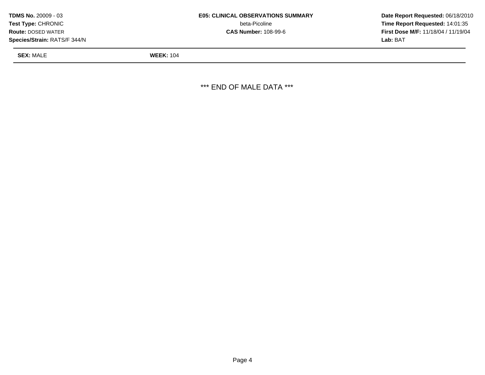| TDMS No. 20009 - 03          | <b>E05: CLINICAL OBSERVATIONS SUMMARY</b> | Date Rep         |
|------------------------------|-------------------------------------------|------------------|
| Test Type: CHRONIC_          | beta-Picoline                             | Time Rep         |
| <b>Route: DOSED WATER</b>    | <b>CAS Number: 108-99-6</b>               | <b>First Dos</b> |
| Species/Strain: RATS/F 344/N |                                           | <b>Lab:</b> BAT  |

**beta-Picoline Time Report Requested:** 14:01:35

**SEX:** MALE **WEEK:** 104

\*\*\* END OF MALE DATA \*\*\*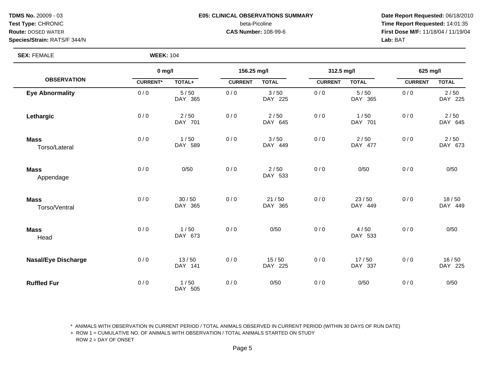### **TDMS No.** 20009 - 03 **E05: CLINICAL OBSERVATIONS SUMMARY** Date Report Requested: 06/18/2010 **Test Type:** CHRONIC beta-Picoline **Time Report Requested:** 14:01:35

**Route:** DOSED WATER **CAS Number:** 108-99-6 **First Dose M/F:** 11/18/04 / 11/19/04

**SEX: FEMALE** 

|                              | $0$ mg/l        |                  | 156.25 mg/l    |                   | 312.5 mg/l     |                  | 625 mg/l       |                  |
|------------------------------|-----------------|------------------|----------------|-------------------|----------------|------------------|----------------|------------------|
| <b>OBSERVATION</b>           | <b>CURRENT*</b> | TOTAL+           | <b>CURRENT</b> | <b>TOTAL</b>      | <b>CURRENT</b> | <b>TOTAL</b>     | <b>CURRENT</b> | <b>TOTAL</b>     |
| <b>Eye Abnormality</b>       | 0/0             | 5/50<br>DAY 365  | 0/0            | 3/50<br>DAY 225   | 0/0            | 5/50<br>DAY 365  | 0/0            | 2/50<br>DAY 225  |
| Lethargic                    | 0/0             | 2/50<br>DAY 701  | 0/0            | $2/50$<br>DAY 645 | 0/0            | 1/50<br>DAY 701  | 0/0            | 2/50<br>DAY 645  |
| <b>Mass</b><br>Torso/Lateral | 0/0             | 1/50<br>DAY 589  | 0/0            | 3/50<br>DAY 449   | 0/0            | 2/50<br>DAY 477  | 0/0            | 2/50<br>DAY 673  |
| <b>Mass</b><br>Appendage     | 0/0             | 0/50             | 0/0            | 2/50<br>DAY 533   | 0/0            | 0/50             | 0/0            | 0/50             |
| <b>Mass</b><br>Torso/Ventral | 0/0             | 30/50<br>DAY 365 | 0/0            | 21/50<br>DAY 365  | 0/0            | 23/50<br>DAY 449 | 0/0            | 18/50<br>DAY 449 |
| <b>Mass</b><br>Head          | 0/0             | 1/50<br>DAY 673  | 0/0            | 0/50              | 0/0            | 4/50<br>DAY 533  | 0/0            | 0/50             |
| <b>Nasal/Eye Discharge</b>   | 0/0             | 13/50<br>DAY 141 | 0/0            | 15/50<br>DAY 225  | 0/0            | 17/50<br>DAY 337 | 0/0            | 16/50<br>DAY 225 |
| <b>Ruffled Fur</b>           | 0/0             | 1/50<br>DAY 505  | 0/0            | 0/50              | 0/0            | 0/50             | 0/0            | 0/50             |

\* ANIMALS WITH OBSERVATION IN CURRENT PERIOD / TOTAL ANIMALS OBSERVED IN CURRENT PERIOD (WITHIN 30 DAYS OF RUN DATE)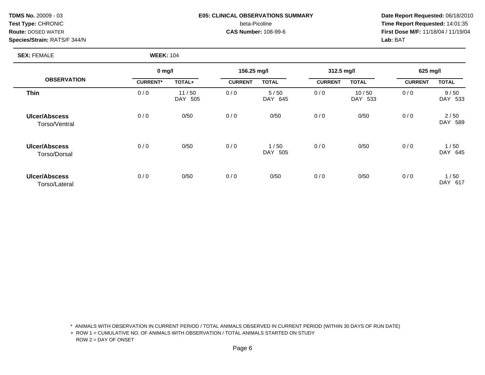### **TDMS No.** 20009 - 03 **E05: CLINICAL OBSERVATIONS SUMMARY Date Report Requested:** 06/18/2010 **Test Type:** CHRONIC beta-Picoline **Time Report Requested:** 14:01:35

**Route:** DOSED WATER **CAS Number:** 108-99-6 **First Dose M/F:** 11/18/04 / 11/19/04

### **SEX:** FEMALE **WEEK:** 104

|                                       |                 | $0$ mg/l                   |                | 156.25 mg/l        |                | 312.5 mg/l       |                | 625 mg/l                  |  |
|---------------------------------------|-----------------|----------------------------|----------------|--------------------|----------------|------------------|----------------|---------------------------|--|
| <b>OBSERVATION</b>                    | <b>CURRENT*</b> | TOTAL+                     | <b>CURRENT</b> | <b>TOTAL</b>       | <b>CURRENT</b> | <b>TOTAL</b>     | <b>CURRENT</b> | <b>TOTAL</b>              |  |
| <b>Thin</b>                           | 0/0             | 11/50<br>505<br><b>DAY</b> | 0/0            | 5/50<br>DAY 645    | 0/0            | 10/50<br>DAY 533 | 0/0            | 9/50<br>DAY 533           |  |
| <b>Ulcer/Abscess</b><br>Torso/Ventral | 0/0             | 0/50                       | 0/0            | 0/50               | 0/0            | 0/50             | 0/0            | 2/50<br><b>DAY</b><br>589 |  |
| <b>Ulcer/Abscess</b><br>Torso/Dorsal  | 0/0             | 0/50                       | 0/0            | 1/50<br>DAY<br>505 | 0/0            | 0/50             | 0/0            | 1/50<br><b>DAY</b><br>645 |  |
| <b>Ulcer/Abscess</b><br>Torso/Lateral | 0/0             | 0/50                       | 0/0            | 0/50               | 0/0            | 0/50             | 0/0            | 1/50<br>DAY.<br>617       |  |

\* ANIMALS WITH OBSERVATION IN CURRENT PERIOD / TOTAL ANIMALS OBSERVED IN CURRENT PERIOD (WITHIN 30 DAYS OF RUN DATE)